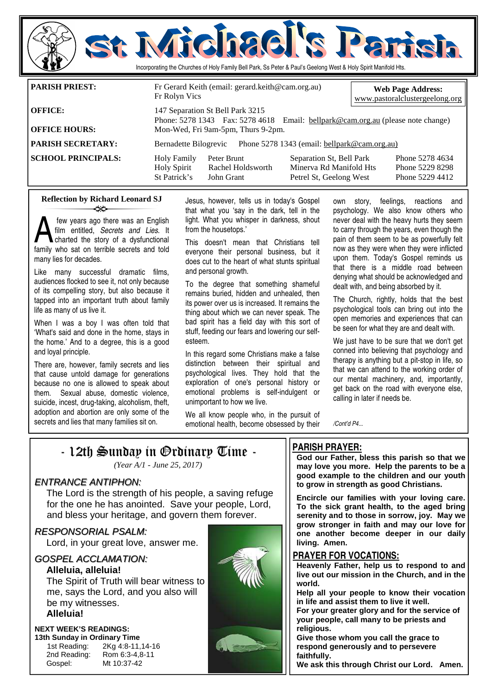

| <b>PARISH PRIEST:</b>     | Fr Gerard Keith (email: gerard.keith@cam.org.au)<br>Fr Rolyn Vics |                                                                                 |                          | <b>Web Page Address:</b><br>www.pastoralclustergeelong.org |                 |
|---------------------------|-------------------------------------------------------------------|---------------------------------------------------------------------------------|--------------------------|------------------------------------------------------------|-----------------|
| <b>OFFICE:</b>            |                                                                   | 147 Separation St Bell Park 3215                                                |                          |                                                            |                 |
|                           |                                                                   | Phone: 5278 1343 Fax: 5278 4618 Email: bellpark@cam.org.au (please note change) |                          |                                                            |                 |
| <b>OFFICE HOURS:</b>      | Mon-Wed, Fri 9am-5pm, Thurs 9-2pm.                                |                                                                                 |                          |                                                            |                 |
| <b>PARISH SECRETARY:</b>  |                                                                   | Bernadette Bilogrevic Phone 5278 1343 (email: bellpark@cam.org.au)              |                          |                                                            |                 |
| <b>SCHOOL PRINCIPALS:</b> | <b>Holy Family</b>                                                | Peter Brunt                                                                     | Separation St, Bell Park |                                                            | Phone 5278 4634 |
|                           | <b>Holy Spirit</b>                                                | Rachel Holdsworth                                                               | Minerva Rd Manifold Hts  |                                                            | Phone 5229 8298 |
|                           | St Patrick's                                                      | John Grant                                                                      | Petrel St, Geelong West  |                                                            | Phone 5229 4412 |

### **Reflection by Richard Leonard SJ**  తం

**A** few years ago there was an English<br>film entitled, *Secrets and Lies*. It<br>family who sat on terrible secrets and told film entitled, *Secrets and Lies*. It charted the story of a dysfunctional family who sat on terrible secrets and told many lies for decades.

Like many successful dramatic films, audiences flocked to see it, not only because of its compelling story, but also because it tapped into an important truth about family life as many of us live it.

When I was a boy I was often told that 'What's said and done in the home, stays in the home.' And to a degree, this is a good and loyal principle.

There are, however, family secrets and lies that cause untold damage for generations because no one is allowed to speak about them. Sexual abuse, domestic violence, suicide, incest, drug-taking, alcoholism, theft, adoption and abortion are only some of the secrets and lies that many families sit on.

Jesus, however, tells us in today's Gospel that what you 'say in the dark, tell in the light. What you whisper in darkness, shout from the housetops.'

This doesn't mean that Christians tell everyone their personal business, but it does cut to the heart of what stunts spiritual and personal growth.

To the degree that something shameful remains buried, hidden and unhealed, then its power over us is increased. It remains the thing about which we can never speak. The bad spirit has a field day with this sort of stuff, feeding our fears and lowering our selfesteem.

In this regard some Christians make a false distinction between their spiritual and psychological lives. They hold that the exploration of one's personal history or emotional problems is self-indulgent or unimportant to how we live.

We all know people who, in the pursuit of emotional health, become obsessed by their own story, feelings, reactions and psychology. We also know others who never deal with the heavy hurts they seem to carry through the years, even though the pain of them seem to be as powerfully felt now as they were when they were inflicted upon them. Today's Gospel reminds us that there is a middle road between denying what should be acknowledged and dealt with, and being absorbed by it.

The Church, rightly, holds that the best psychological tools can bring out into the open memories and experiences that can be seen for what they are and dealt with.

We just have to be sure that we don't get conned into believing that psychology and therapy is anything but a pit-stop in life, so that we can attend to the working order of our mental machinery, and, importantly, get back on the road with everyone else, calling in later if needs be.

*/Cont'd P4...* 

## - 12th Sunday in Ordinary Time -

*(Year A/1 - June 25, 2017)* 

## ENTRANCE ANTIPHON:

 The Lord is the strength of his people, a saving refuge for the one he has anointed. Save your people, Lord, and bless your heritage, and govern them forever.

## RESPONSORIAL PSALM:

Lord, in your great love, answer me.

### GOSPEL ACCLAMATION: **Alleluia, alleluia!**

The Spirit of Truth will bear witness to me, says the Lord, and you also will be my witnesses.

## **Alleluia!**

**NEXT WEEK'S READINGS: 13th Sunday in Ordinary Time** 

Gospel: Mt 10:37-42

1st Reading: 2Kg 4:8-11,14-16 2nd Reading: Rom 6:3-4,8-11



## **PARISH PRAYER:**

**God our Father, bless this parish so that we may love you more. Help the parents to be a good example to the children and our youth to grow in strength as good Christians.** 

**Encircle our families with your loving care. To the sick grant health, to the aged bring serenity and to those in sorrow, joy. May we grow stronger in faith and may our love for one another become deeper in our daily living. Amen.** 

## **PRAYER FOR VOCATIONS:**

**Heavenly Father, help us to respond to and live out our mission in the Church, and in the world.** 

**Help all your people to know their vocation in life and assist them to live it well.** 

**For your greater glory and for the service of your people, call many to be priests and religious.** 

**Give those whom you call the grace to respond generously and to persevere faithfully.** 

**We ask this through Christ our Lord. Amen.**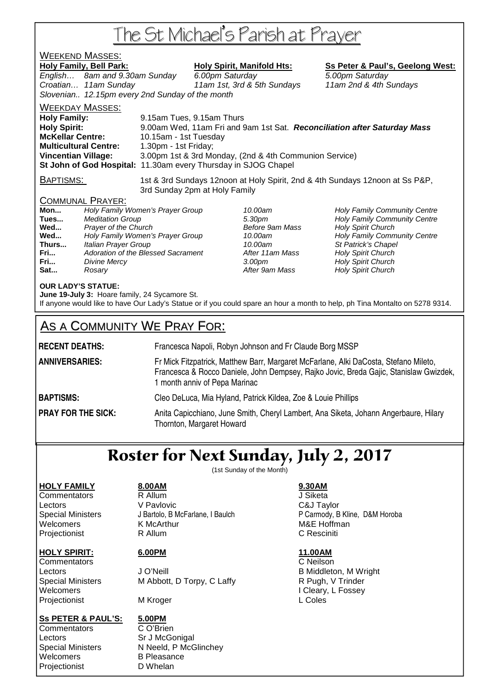# The St Michael's Parish at Prayer

## WEEKEND MASSES:

Holy Family, Bell Park: Holy Spirit, Manifold Hts: Ss Peter & Paul's, Geelong West:

English… 8am and 9.30am Sunday 6.00pm Saturday 5.00pm Saturday Croatian… 11am Sunday 11am 1st, 3rd & 5th Sundays 11am 2nd & 4th Sundays Slovenian.. 12.15pm every 2nd Sunday of the month

WEEKDAY MASSES:

**Holy Family:** 9.15am Tues, 9.15am Thurs **Holy Spirit:** 9.00am Wed, 11am Fri and 9am 1st Sat. **Reconciliation after Saturday Mass McKellar Centre:** 10.15am - 1st Tuesday **Multicultural Centre:** 1.30pm - 1st Friday; **Vincentian Village:** 3.00pm 1st & 3rd Monday, (2nd & 4th Communion Service) **St John of God Hospital:** 11.30am every Thursday in SJOG Chapel

BAPTISMS: 1st & 3rd Sundays 12noon at Holy Spirit, 2nd & 4th Sundays 12noon at Ss P&P, 3rd Sunday 2pm at Holy Family

## COMMUNAL PRAYER:

| Mon   | Holy Family Women's Prayer Group   |
|-------|------------------------------------|
| Tues  | <b>Meditation Group</b>            |
| Wed   | <b>Prayer of the Church</b>        |
| Wed   | Holy Family Women's Prayer Group   |
| Thurs | Italian Prayer Group               |
| Fri   | Adoration of the Blessed Sacrament |
| Fri   | Divine Mercy                       |
| Sat   | Rosarv                             |

**After 11am Mass Holy Spirit Church** After 9am Mass **Holy Spirit Church** 

10.00am **Holy Family Community Centre Tues 3.30pm Holy Family Community Centre Before 9am Mass Holy Spirit Church Before 9am Mass Holy Spirit Church** 10.00am **Holy Family Community Centre** 10.00am St Patrick's Chapel **Franch 3.00pm** Holy Spirit Church

## **OUR LADY'S STATUE:**

**June 19-July 3:** Hoare family, 24 Sycamore St. If anyone would like to have Our Lady's Statue or if you could spare an hour a month to help, ph Tina Montalto on 5278 9314.

## AS A COMMUNITY WE PRAY FOR:

**RECENT DEATHS:** Francesca Napoli, Robyn Johnson and Fr Claude Borg MSSP **ANNIVERSARIES:** Fr Mick Fitzpatrick, Matthew Barr, Margaret McFarlane, Alki DaCosta, Stefano Mileto, Francesca & Rocco Daniele, John Dempsey, Rajko Jovic, Breda Gajic, Stanislaw Gwizdek, 1 month anniv of Pepa Marinac

**BAPTISMS:** Cleo DeLuca, Mia Hyland, Patrick Kildea, Zoe & Louie Phillips

**PRAY FOR THE SICK:** Anita Capicchiano, June Smith, Cheryl Lambert, Ana Siketa, Johann Angerbaure, Hilary Thornton, Margaret Howard

## Roster for Next Sunday, July 2, 2017

(1st Sunday of the Month)

## **HOLY FAMILY 8.00AM 9.30AM**

Commentators R Allum J Siketa Lectors V Pavlovic C&J Taylor Welcomers **K McArthur MAC 1999** M&E Hoffman Projectionist R Allum C Resciniti

Projectionist MKroger MAI MAI L Coles

### **Ss PETER & PAUL'S: 5.00PM**

Commentators C O'Brien Lectors Sr J McGonigal Welcomers B Pleasance Projectionist D Whelan

**HOLY SPIRIT: 6.00PM 11.00AM** Commentators C Neilson Lectors **Contact Contact Contact Contact Contact Contact Contact Contact Contact Contact Contact Contact Contact Contact Contact Contact Contact Contact Contact Contact Contact Contact Contact Contact Contact Contact Conta** 

Welcomers I Cleary, L Fossey

Special Ministers N Neeld, P McGlinchey

Special Ministers J Bartolo, B McFarlane, I Baulch P Carmody, B Kline, D&M Horoba

Special Ministers M Abbott, D Torpy, C Laffy R Pugh, V Trinder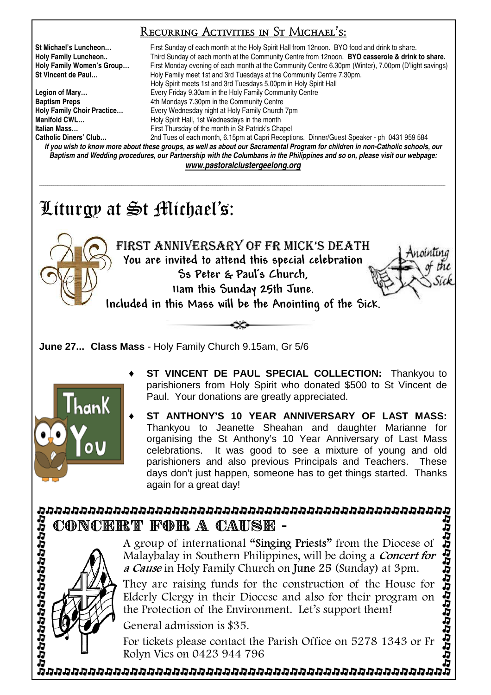## Recurring Activities in St Michael's:

**St Michael's Luncheon…** First Sunday of each month at the Holy Spirit Hall from 12noon. BYO food and drink to share. **Holy Family Luncheon..** Third Sunday of each month at the Community Centre from 12noon. **BYO casserole & drink to share. Holy Family Women's Group…** First Monday evening of each month at the Community Centre 6.30pm (Winter), 7.00pm (D'light savings) **St Vincent de Paul…** Holy Family meet 1st and 3rd Tuesdays at the Community Centre 7.30pm. Holy Spirit meets 1st and 3rd Tuesdays 5.00pm in Holy Spirit Hall Legion of Mary... **Exery Friday 9.30am in the Holy Family Community Centre Baptism Preps 4th Mondays 7.30pm in the Community Centre Holy Family Choir Practice…** Every Wednesday night at Holy Family Church 7pm **Manifold CWL... Holy Spirit Hall, 1st Wednesdays in the month Italian Mass... First Thursday of the month in St Patrick's Chapel Catholic Diners' Club...** 2nd Tues of each month, 6.15pm at Capri Reception 2nd Tues of each month, 6.15pm at Capri Receptions. Dinner/Guest Speaker - ph 0431 959 584

*If you wish to know more about these groups, as well as about our Sacramental Program for children in non-Catholic schools, our Baptism and Wedding procedures, our Partnership with the Columbans in the Philippines and so on, please visit our webpage: www.pastoralclustergeelong.org*

\_\_\_\_\_\_\_\_\_\_\_\_\_\_\_\_\_\_\_\_\_\_\_\_\_\_\_\_\_\_\_\_\_\_\_\_\_\_\_\_\_\_\_\_\_\_\_\_\_\_\_\_\_\_\_\_\_\_\_\_\_\_\_\_\_\_\_\_\_\_\_\_\_\_\_\_\_\_\_\_\_\_\_\_\_\_\_\_\_\_\_\_\_\_\_\_\_\_\_\_\_\_\_\_\_\_\_\_\_\_\_\_\_\_\_\_\_\_\_\_\_\_\_\_\_\_\_\_\_\_\_\_\_\_\_\_\_\_\_\_\_\_\_\_\_\_\_\_\_\_\_\_\_\_\_\_\_\_\_\_\_\_\_\_\_\_\_\_\_\_\_\_\_\_\_\_\_\_\_\_\_\_\_\_\_\_\_\_\_\_\_\_\_\_\_\_\_

# Liturgy at St Michael's:

FIRST ANNIVERSARY OF FR MICK'S DEATH You are invited to attend this special celebration Ss Peter & Paul's Church, 11am this Sunday 25th June.



**June 27... Class Mass** - Holy Family Church 9.15am, Gr 5/6



- **ST VINCENT DE PAUL SPECIAL COLLECTION: Thankyou to** parishioners from Holy Spirit who donated \$500 to St Vincent de Paul. Your donations are greatly appreciated.
	- ST ANTHONY'S 10 YEAR ANNIVERSARY OF LAST MASS: Thankyou to Jeanette Sheahan and daughter Marianne for organising the St Anthony's 10 Year Anniversary of Last Mass celebrations. It was good to see a mixture of young and old parishioners and also previous Principals and Teachers. These days don't just happen, someone has to get things started. Thanks again for a great day!

# CONCERT FOR A CAUSE -



A group of international "Singing Priests" from the Diocese of Malaybalay in Southern Philippines, will be doing a *Concert for* a Cause in Holy Family Church on June 25 (Sunday) at 3pm.

They are raising funds for the construction of the House for Elderly Clergy in their Diocese and also for their program on the Protection of the Environment. Let's support them!

General admission is \$35.

For tickets please contact the Parish Office on 5278 1343 or Fr Rolyn Vics on 0423 944 796